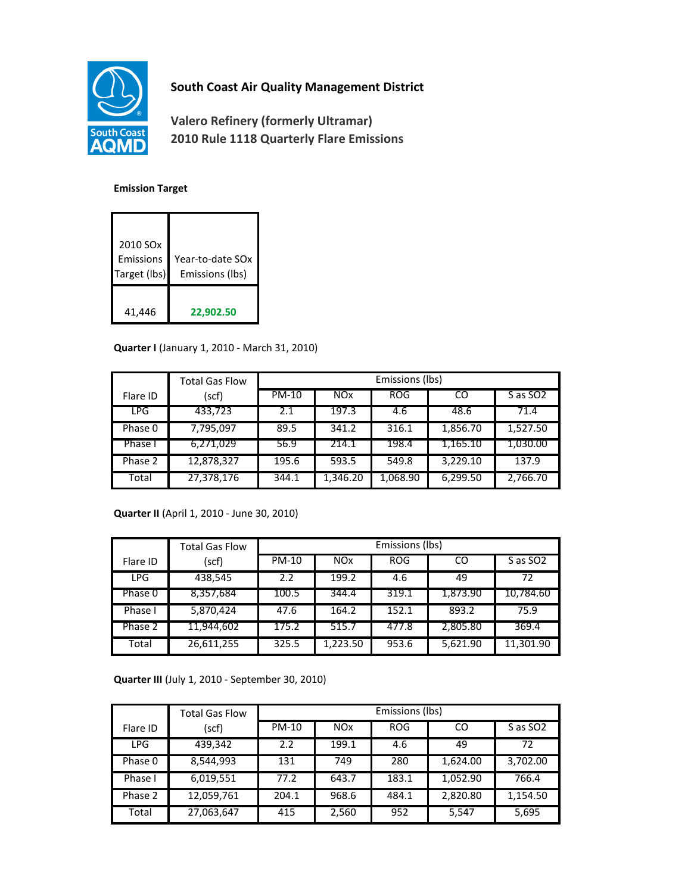

## **South Coast Air Quality Management District**

**Valero Refinery (formerly Ultramar) 2010 Rule 1118 Quarterly Flare Emissions**

## **Emission Target**

| 2010 SO <sub>x</sub><br>Emissions<br>Target (lbs) | Year-to-date SOx<br>Emissions (lbs) |
|---------------------------------------------------|-------------------------------------|
| 41,446                                            | 22,902.50                           |

## **Quarter I** (January 1, 2010 - March 31, 2010)

|            | <b>Total Gas Flow</b> | Emissions (lbs) |            |            |          |                      |
|------------|-----------------------|-----------------|------------|------------|----------|----------------------|
| Flare ID   | (scf)                 | PM-10           | <b>NOx</b> | <b>ROG</b> | CO       | S as SO <sub>2</sub> |
| <b>LPG</b> | 433,723               | 2.1             | 197.3      | 4.6        | 48.6     | 71.4                 |
| Phase 0    | 7,795,097             | 89.5            | 341.2      | 316.1      | 1,856.70 | 1,527.50             |
| Phase I    | 6,271,029             | 56.9            | 214.1      | 198.4      | 1,165.10 | 1,030.00             |
| Phase 2    | 12,878,327            | 195.6           | 593.5      | 549.8      | 3,229.10 | 137.9                |
| Total      | 27,378,176            | 344.1           | 1,346.20   | 1,068.90   | 6,299.50 | 2,766.70             |

**Quarter II** (April 1, 2010 - June 30, 2010)

|            | <b>Total Gas Flow</b> | Emissions (lbs) |            |            |          |                      |
|------------|-----------------------|-----------------|------------|------------|----------|----------------------|
| Flare ID   | (scf)                 | <b>PM-10</b>    | <b>NOx</b> | <b>ROG</b> | CO       | S as SO <sub>2</sub> |
| <b>LPG</b> | 438,545               | 2.2             | 199.2      | 4.6        | 49       | 72                   |
| Phase 0    | 8,357,684             | 100.5           | 344.4      | 319.1      | 1,873.90 | 10,784.60            |
| Phase I    | 5,870,424             | 47.6            | 164.2      | 152.1      | 893.2    | 75.9                 |
| Phase 2    | 11,944,602            | 175.2           | 515.7      | 477.8      | 2,805.80 | 369.4                |
| Total      | 26,611,255            | 325.5           | 1.223.50   | 953.6      | 5,621.90 | 11,301.90            |

**Quarter III** (July 1, 2010 - September 30, 2010)

|            | <b>Total Gas Flow</b> | Emissions (lbs) |            |            |          |                      |
|------------|-----------------------|-----------------|------------|------------|----------|----------------------|
| Flare ID   | (scf)                 | <b>PM-10</b>    | <b>NOx</b> | <b>ROG</b> | CO       | S as SO <sub>2</sub> |
| <b>LPG</b> | 439,342               | 2.2             | 199.1      | 4.6        | 49       | 72                   |
| Phase 0    | 8,544,993             | 131             | 749        | 280        | 1,624.00 | 3,702.00             |
| Phase I    | 6,019,551             | 77.2            | 643.7      | 183.1      | 1,052.90 | 766.4                |
| Phase 2    | 12,059,761            | 204.1           | 968.6      | 484.1      | 2,820.80 | 1,154.50             |
| Total      | 27,063,647            | 415             | 2,560      | 952        | 5,547    | 5,695                |